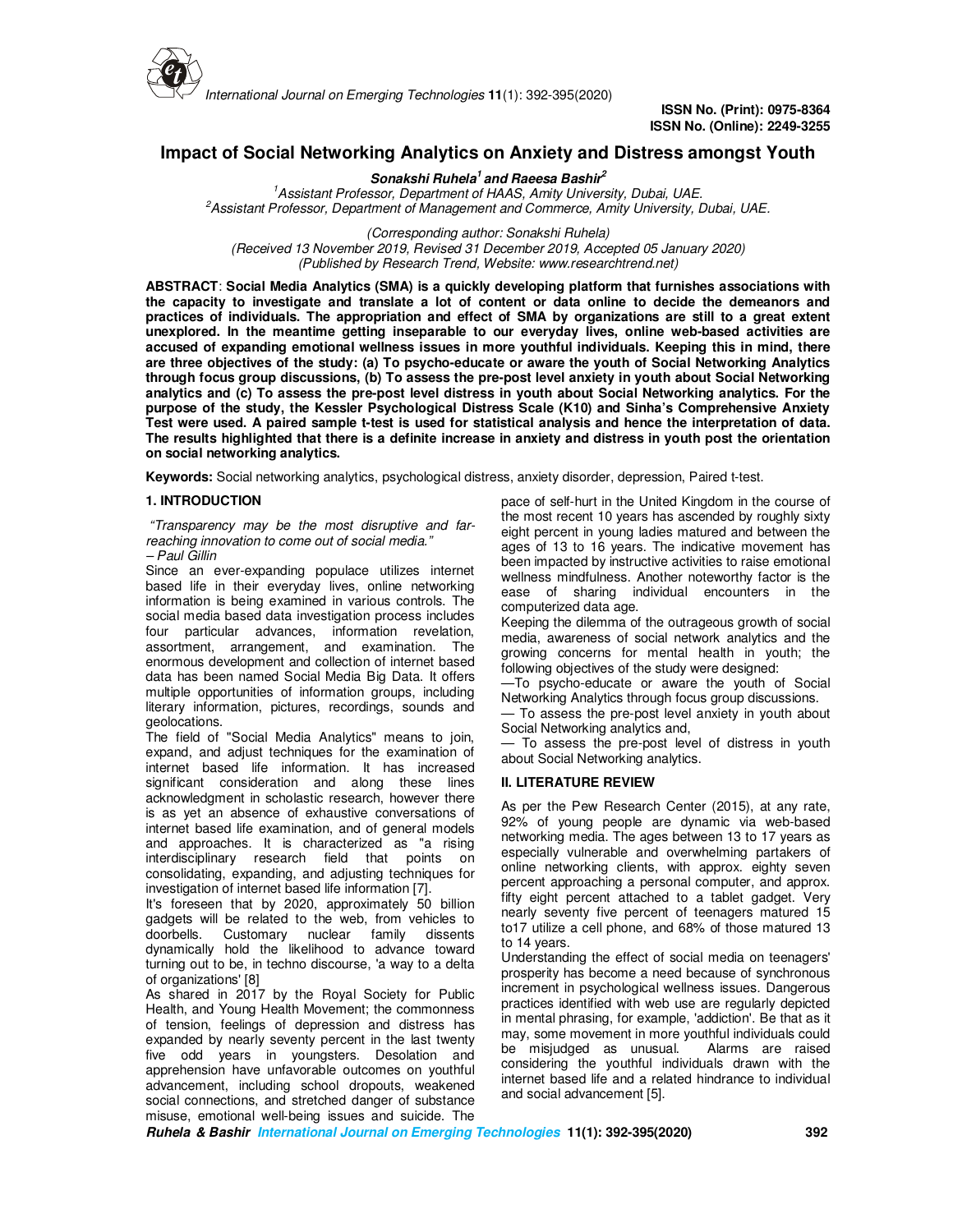

*International Journal on Emerging Technologies* **11**(1): 392-395(2020)

**ISSN No. (Print): 0975-8364 ISSN No. (Online): 2249-3255** 

# **Impact of Social Networking Analytics on Anxiety and Distress amongst Youth**

## **Sonakshi Ruhela<sup>1</sup>and Raeesa Bashir<sup>2</sup>**

*1 Assistant Professor, Department of HAAS, Amity University, Dubai, UAE. <sup>2</sup>Assistant Professor, Department of Management and Commerce, Amity University, Dubai, UAE.* 

*(Corresponding author: Sonakshi Ruhela) (Received 13 November 2019, Revised 31 December 2019, Accepted 05 January 2020) (Published by Research Trend, Website: www.researchtrend.net)* 

**ABSTRACT**: **Social Media Analytics (SMA) is a quickly developing platform that furnishes associations with the capacity to investigate and translate a lot of content or data online to decide the demeanors and practices of individuals. The appropriation and effect of SMA by organizations are still to a great extent unexplored. In the meantime getting inseparable to our everyday lives, online web-based activities are accused of expanding emotional wellness issues in more youthful individuals. Keeping this in mind, there are three objectives of the study: (a) To psycho-educate or aware the youth of Social Networking Analytics through focus group discussions, (b) To assess the pre-post level anxiety in youth about Social Networking analytics and (c) To assess the pre-post level distress in youth about Social Networking analytics. For the purpose of the study, the Kessler Psychological Distress Scale (K10) and Sinha's Comprehensive Anxiety Test were used. A paired sample t-test is used for statistical analysis and hence the interpretation of data. The results highlighted that there is a definite increase in anxiety and distress in youth post the orientation on social networking analytics.** 

**Keywords:** Social networking analytics, psychological distress, anxiety disorder, depression, Paired t-test.

# **1. INTRODUCTION**

 *"Transparency may be the most disruptive and farreaching innovation to come out of social media." – Paul Gillin* 

Since an ever-expanding populace utilizes internet based life in their everyday lives, online networking information is being examined in various controls. The social media based data investigation process includes four particular advances, information revelation, assortment, arrangement, and examination. The enormous development and collection of internet based data has been named Social Media Big Data. It offers multiple opportunities of information groups, including literary information, pictures, recordings, sounds and geolocations.

The field of "Social Media Analytics" means to join, expand, and adjust techniques for the examination of internet based life information. It has increased significant consideration and along these lines acknowledgment in scholastic research, however there is as yet an absence of exhaustive conversations of internet based life examination, and of general models and approaches. It is characterized as "a rising interdisciplinary research field that points on consolidating, expanding, and adjusting techniques for investigation of internet based life information [7].

It's foreseen that by 2020, approximately 50 billion gadgets will be related to the web, from vehicles to doorbells. Customary nuclear family dissents dynamically hold the likelihood to advance toward turning out to be, in techno discourse, 'a way to a delta of organizations' [8]

As shared in 2017 by the Royal Society for Public Health, and Young Health Movement; the commonness of tension, feelings of depression and distress has expanded by nearly seventy percent in the last twenty five odd years in youngsters. Desolation and apprehension have unfavorable outcomes on youthful advancement, including school dropouts, weakened social connections, and stretched danger of substance misuse, emotional well-being issues and suicide. The pace of self-hurt in the United Kingdom in the course of the most recent 10 years has ascended by roughly sixty eight percent in young ladies matured and between the ages of 13 to 16 years. The indicative movement has been impacted by instructive activities to raise emotional wellness mindfulness. Another noteworthy factor is the ease of sharing individual encounters in the computerized data age.

Keeping the dilemma of the outrageous growth of social media, awareness of social network analytics and the growing concerns for mental health in youth; the following objectives of the study were designed:

—To psycho-educate or aware the youth of Social Networking Analytics through focus group discussions. — To assess the pre-post level anxiety in youth about

Social Networking analytics and,

— To assess the pre-post level of distress in youth about Social Networking analytics.

## **II. LITERATURE REVIEW**

As per the Pew Research Center (2015), at any rate, 92% of young people are dynamic via web-based networking media. The ages between 13 to 17 years as especially vulnerable and overwhelming partakers of online networking clients, with approx. eighty seven percent approaching a personal computer, and approx. fifty eight percent attached to a tablet gadget. Very nearly seventy five percent of teenagers matured 15 to17 utilize a cell phone, and 68% of those matured 13 to 14 years.

Understanding the effect of social media on teenagers' prosperity has become a need because of synchronous increment in psychological wellness issues. Dangerous practices identified with web use are regularly depicted in mental phrasing, for example, 'addiction'. Be that as it may, some movement in more youthful individuals could be misjudged as unusual. Alarms are raised considering the youthful individuals drawn with the internet based life and a related hindrance to individual and social advancement [5].

**Ruhela & Bashir International Journal on Emerging Technologies 11(1): 392-395(2020) 392**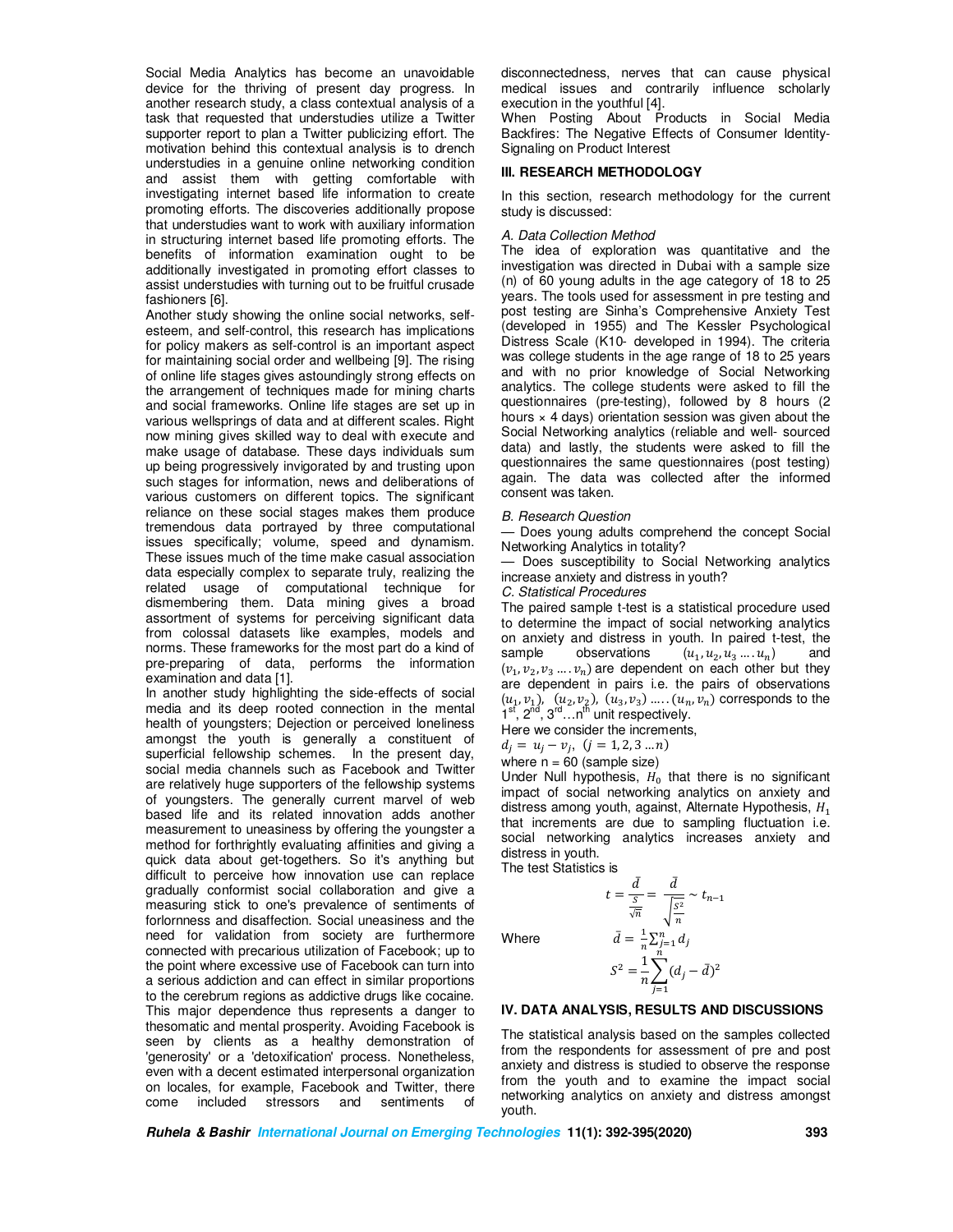Social Media Analytics has become an unavoidable device for the thriving of present day progress. In another research study, a class contextual analysis of a task that requested that understudies utilize a Twitter supporter report to plan a Twitter publicizing effort. The motivation behind this contextual analysis is to drench understudies in a genuine online networking condition and assist them with getting comfortable with investigating internet based life information to create promoting efforts. The discoveries additionally propose that understudies want to work with auxiliary information in structuring internet based life promoting efforts. The benefits of information examination ought to be additionally investigated in promoting effort classes to assist understudies with turning out to be fruitful crusade fashioners [6].

Another study showing the online social networks, selfesteem, and self-control, this research has implications for policy makers as self-control is an important aspect for maintaining social order and wellbeing [9]. The rising of online life stages gives astoundingly strong effects on the arrangement of techniques made for mining charts and social frameworks. Online life stages are set up in various wellsprings of data and at different scales. Right now mining gives skilled way to deal with execute and make usage of database. These days individuals sum up being progressively invigorated by and trusting upon such stages for information, news and deliberations of various customers on different topics. The significant reliance on these social stages makes them produce tremendous data portrayed by three computational issues specifically; volume, speed and dynamism. These issues much of the time make casual association data especially complex to separate truly, realizing the related usage of computational technique for dismembering them. Data mining gives a broad assortment of systems for perceiving significant data from colossal datasets like examples, models and norms. These frameworks for the most part do a kind of pre-preparing of data, performs the information examination and data [1].

In another study highlighting the side-effects of social media and its deep rooted connection in the mental health of youngsters; Dejection or perceived loneliness amongst the youth is generally a constituent of superficial fellowship schemes. In the present day, social media channels such as Facebook and Twitter are relatively huge supporters of the fellowship systems of youngsters. The generally current marvel of web based life and its related innovation adds another measurement to uneasiness by offering the youngster a method for forthrightly evaluating affinities and giving a quick data about get-togethers. So it's anything but difficult to perceive how innovation use can replace gradually conformist social collaboration and give a measuring stick to one's prevalence of sentiments of forlornness and disaffection. Social uneasiness and the need for validation from society are furthermore connected with precarious utilization of Facebook; up to the point where excessive use of Facebook can turn into a serious addiction and can effect in similar proportions to the cerebrum regions as addictive drugs like cocaine. This major dependence thus represents a danger to thesomatic and mental prosperity. Avoiding Facebook is seen by clients as a healthy demonstration of 'generosity' or a 'detoxification' process. Nonetheless, even with a decent estimated interpersonal organization on locales, for example, Facebook and Twitter, there come included stressors and sentiments of

disconnectedness, nerves that can cause physical medical issues and contrarily influence scholarly execution in the youthful [4].

When Posting About Products in Social Media Backfires: The Negative Effects of Consumer Identity-Signaling on Product Interest

#### **III. RESEARCH METHODOLOGY**

In this section, research methodology for the current study is discussed:

#### *A. Data Collection Method*

The idea of exploration was quantitative and the investigation was directed in Dubai with a sample size (n) of 60 young adults in the age category of 18 to 25 years. The tools used for assessment in pre testing and post testing are Sinha's Comprehensive Anxiety Test (developed in 1955) and The Kessler Psychological Distress Scale (K10- developed in 1994). The criteria was college students in the age range of 18 to 25 years and with no prior knowledge of Social Networking analytics. The college students were asked to fill the questionnaires (pre-testing), followed by 8 hours (2 hours  $\times$  4 days) orientation session was given about the Social Networking analytics (reliable and well- sourced data) and lastly, the students were asked to fill the questionnaires the same questionnaires (post testing) again. The data was collected after the informed consent was taken.

#### *B. Research Question*

Does young adults comprehend the concept Social Networking Analytics in totality?

Does susceptibility to Social Networking analytics increase anxiety and distress in youth?

#### *C. Statistical Procedures*

The paired sample t-test is a statistical procedure used to determine the impact of social networking analytics on anxiety and distress in youth. In paired t-test, the sample observations  $(u_1, u_2, u_3, \ldots, u_n)$  and  $(v_1, v_2, v_3, \ldots, v_n)$  are dependent on each other but they are dependent in pairs i.e. the pairs of observations  $(u_1, v_1)$ ,  $(u_2, v_2)$ ,  $(u_3, v_3)$  ....  $(u_n, v_n)$  corresponds to the <br>1<sup>st</sup>, 2<sup>nd</sup>, 3<sup>rd</sup> ...n<sup>th</sup> unit respectively.

Here we consider the increments,

 $t = \frac{\bar{d}}{s}$ S  $\sqrt{n}$ 

 $d_j = u_j - v_j, \ (j = 1, 2, 3 \ldots n)$ 

where  $n = 60$  (sample size)

Under Null hypothesis,  $H_0$  that there is no significant impact of social networking analytics on anxiety and distress among youth, against, Alternate Hypothesis,  $H_1$  that increments are due to sampling fluctuation i.e. social networking analytics increases anxiety and distress in youth.

> $=\frac{\bar{d}}{\sqrt{2}}$  $\frac{\sqrt{S^2}}{n}$  $\boldsymbol{n}$

 $\sim t_{n-1}$ 

The test Statistics is

**Where** 

$$
\bar{d} = \frac{1}{n} \sum_{j=1}^{n} d_j
$$
  

$$
S^2 = \frac{1}{n} \sum_{j=1}^{n} (d_j - \bar{d})^2
$$

## **IV. DATA ANALYSIS, RESULTS AND DISCUSSIONS**

The statistical analysis based on the samples collected from the respondents for assessment of pre and post anxiety and distress is studied to observe the response from the youth and to examine the impact social networking analytics on anxiety and distress amongst youth.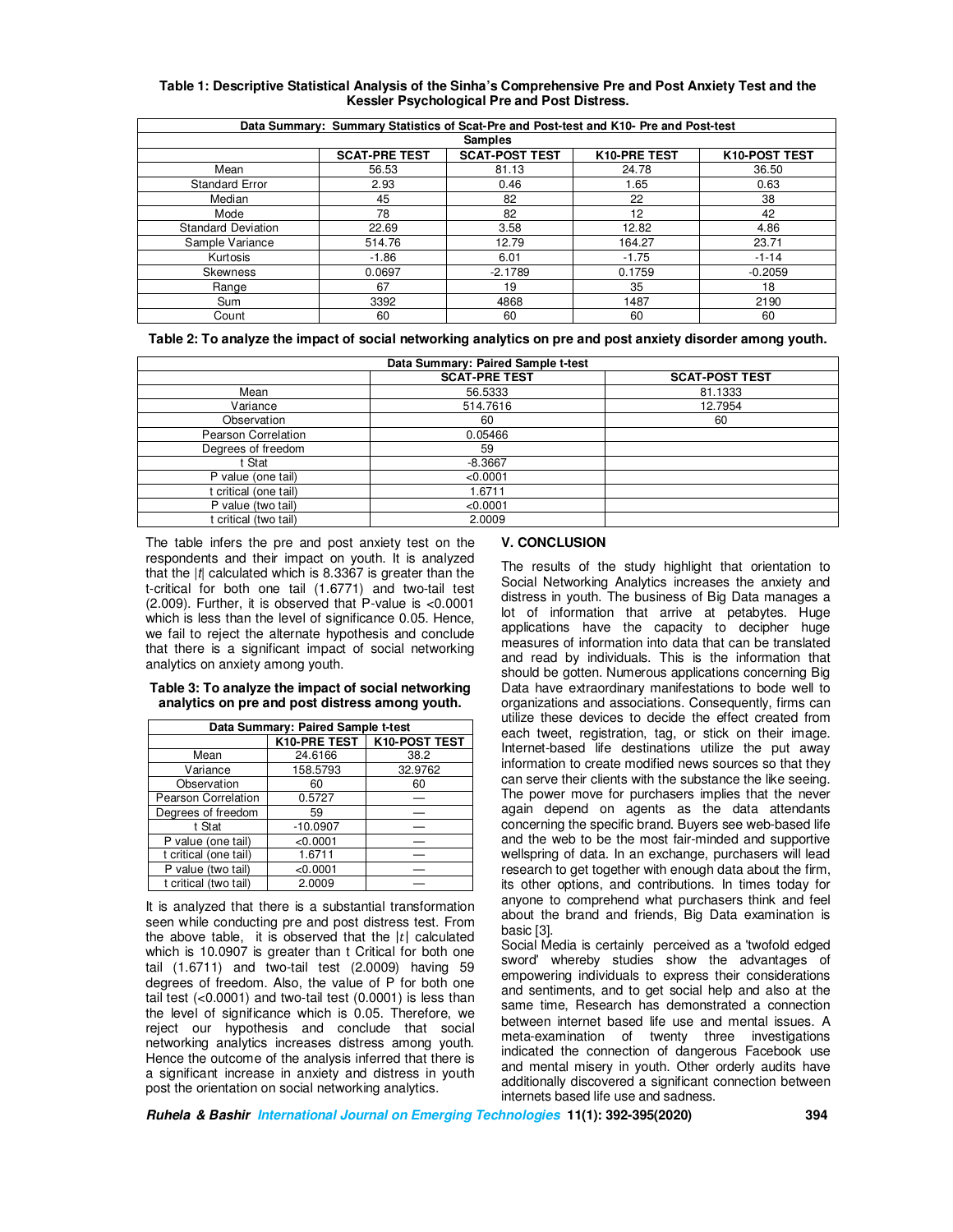| Data Summary: Summary Statistics of Scat-Pre and Post-test and K10- Pre and Post-test |                      |                       |              |               |  |
|---------------------------------------------------------------------------------------|----------------------|-----------------------|--------------|---------------|--|
| <b>Samples</b>                                                                        |                      |                       |              |               |  |
|                                                                                       | <b>SCAT-PRE TEST</b> | <b>SCAT-POST TEST</b> | K10-PRE TEST | K10-POST TEST |  |
| Mean                                                                                  | 56.53                | 81.13                 | 24.78        | 36.50         |  |
| <b>Standard Error</b>                                                                 | 2.93                 | 0.46                  | 1.65         | 0.63          |  |
| Median                                                                                | 45                   | 82                    | 22           | 38            |  |
| Mode                                                                                  | 78                   | 82                    | 12           | 42            |  |
| <b>Standard Deviation</b>                                                             | 22.69                | 3.58                  | 12.82        | 4.86          |  |
| Sample Variance                                                                       | 514.76               | 12.79                 | 164.27       | 23.71         |  |
| Kurtosis                                                                              | $-1.86$              | 6.01                  | $-1.75$      | $-1 - 14$     |  |
| <b>Skewness</b>                                                                       | 0.0697               | $-2.1789$             | 0.1759       | $-0.2059$     |  |
| Range                                                                                 | 67                   | 19                    | 35           | 18            |  |
| Sum                                                                                   | 3392                 | 4868                  | 1487         | 2190          |  |
| Count                                                                                 | 60                   | 60                    | 60           | 60            |  |

## **Table 1: Descriptive Statistical Analysis of the Sinha's Comprehensive Pre and Post Anxiety Test and the Kessler Psychological Pre and Post Distress.**

**Table 2: To analyze the impact of social networking analytics on pre and post anxiety disorder among youth.** 

| Data Summary: Paired Sample t-test |                      |                       |  |  |
|------------------------------------|----------------------|-----------------------|--|--|
|                                    | <b>SCAT-PRE TEST</b> | <b>SCAT-POST TEST</b> |  |  |
| Mean                               | 56.5333              | 81.1333               |  |  |
| Variance                           | 514.7616             | 12.7954               |  |  |
| Observation                        | 60                   | 60                    |  |  |
| Pearson Correlation                | 0.05466              |                       |  |  |
| Degrees of freedom                 | 59                   |                       |  |  |
| : Stat                             | $-8.3667$            |                       |  |  |
| P value (one tail)                 | < 0.0001             |                       |  |  |
| t critical (one tail)              | 1.6711               |                       |  |  |
| P value (two tail)                 | < 0.0001             |                       |  |  |
| t critical (two tail)              | 2.0009               |                       |  |  |

The table infers the pre and post anxiety test on the respondents and their impact on youth. It is analyzed that the |*t*| calculated which is 8.3367 is greater than the t-critical for both one tail (1.6771) and two-tail test (2.009). Further, it is observed that P-value is <0.0001 which is less than the level of significance 0.05. Hence, we fail to reject the alternate hypothesis and conclude that there is a significant impact of social networking analytics on anxiety among youth.

#### **Table 3: To analyze the impact of social networking analytics on pre and post distress among youth.**

| Data Summary: Paired Sample t-test |              |               |  |  |  |
|------------------------------------|--------------|---------------|--|--|--|
|                                    | K10-PRE TEST | K10-POST TEST |  |  |  |
| Mean                               | 24.6166      | 38.2          |  |  |  |
| Variance                           | 158.5793     | 32.9762       |  |  |  |
| Observation                        | 60           | 60            |  |  |  |
| Pearson Correlation                | 0.5727       |               |  |  |  |
| Degrees of freedom                 | 59           |               |  |  |  |
| t Stat                             | $-10.0907$   |               |  |  |  |
| P value (one tail)                 | < 0.0001     |               |  |  |  |
| t critical (one tail)              | 1.6711       |               |  |  |  |
| P value (two tail)                 | < 0.0001     |               |  |  |  |
| t critical (two tail)              | 2.0009       |               |  |  |  |

It is analyzed that there is a substantial transformation seen while conducting pre and post distress test. From the above table, it is observed that the  $|t|$  calculated which is 10.0907 is greater than t Critical for both one tail (1.6711) and two-tail test (2.0009) having 59 degrees of freedom. Also, the value of P for both one tail test (<0.0001) and two-tail test (0.0001) is less than the level of significance which is 0.05. Therefore, we reject our hypothesis and conclude that social networking analytics increases distress among youth. Hence the outcome of the analysis inferred that there is a significant increase in anxiety and distress in youth post the orientation on social networking analytics.

# **V. CONCLUSION**

The results of the study highlight that orientation to Social Networking Analytics increases the anxiety and distress in youth. The business of Big Data manages a lot of information that arrive at petabytes. Huge applications have the capacity to decipher huge measures of information into data that can be translated and read by individuals. This is the information that should be gotten. Numerous applications concerning Big Data have extraordinary manifestations to bode well to organizations and associations. Consequently, firms can utilize these devices to decide the effect created from each tweet, registration, tag, or stick on their image. Internet-based life destinations utilize the put away information to create modified news sources so that they can serve their clients with the substance the like seeing. The power move for purchasers implies that the never again depend on agents as the data attendants concerning the specific brand. Buyers see web-based life and the web to be the most fair-minded and supportive wellspring of data. In an exchange, purchasers will lead research to get together with enough data about the firm, its other options, and contributions. In times today for anyone to comprehend what purchasers think and feel about the brand and friends, Big Data examination is basic [3].

Social Media is certainly perceived as a 'twofold edged sword' whereby studies show the advantages of empowering individuals to express their considerations and sentiments, and to get social help and also at the same time, Research has demonstrated a connection between internet based life use and mental issues. A meta-examination of twenty three investigations indicated the connection of dangerous Facebook use and mental misery in youth. Other orderly audits have additionally discovered a significant connection between internets based life use and sadness.

**Ruhela & Bashir International Journal on Emerging Technologies 11(1): 392-395(2020) 394**